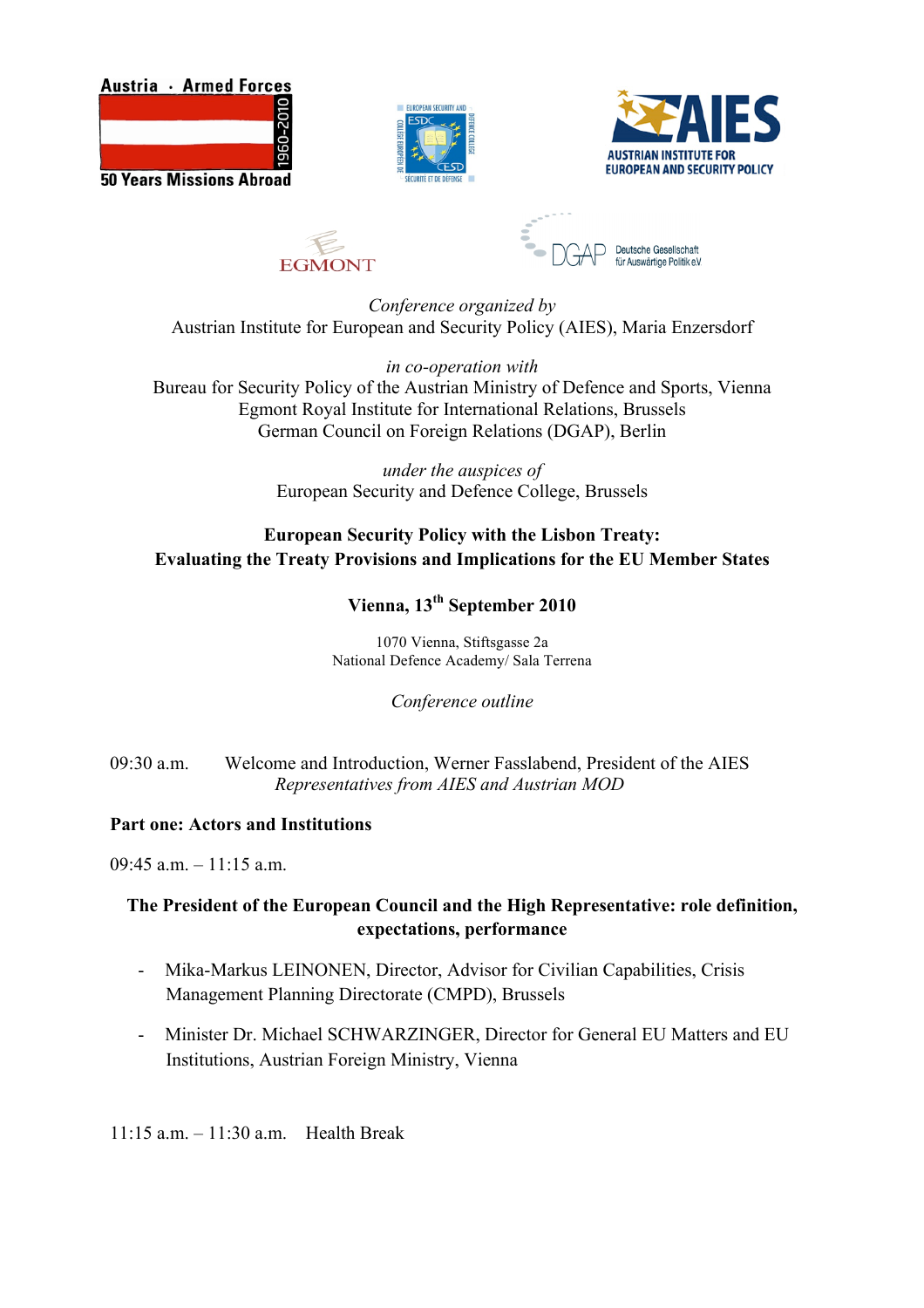









*Conference organized by* Austrian Institute for European and Security Policy (AIES), Maria Enzersdorf

*in co-operation with* Bureau for Security Policy of the Austrian Ministry of Defence and Sports, Vienna Egmont Royal Institute for International Relations, Brussels German Council on Foreign Relations (DGAP), Berlin

> *under the auspices of* European Security and Defence College, Brussels

## **European Security Policy with the Lisbon Treaty: Evaluating the Treaty Provisions and Implications for the EU Member States**

# **Vienna, 13th September 2010**

1070 Vienna, Stiftsgasse 2a National Defence Academy/ Sala Terrena

*Conference outline*

09:30 a.m. Welcome and Introduction, Werner Fasslabend, President of the AIES *Representatives from AIES and Austrian MOD*

### **Part one: Actors and Institutions**

 $09.45$  a.m.  $-11.15$  a.m.

### **The President of the European Council and the High Representative: role definition, expectations, performance**

- Mika-Markus LEINONEN, Director, Advisor for Civilian Capabilities, Crisis Management Planning Directorate (CMPD), Brussels
- Minister Dr. Michael SCHWARZINGER, Director for General EU Matters and EU Institutions, Austrian Foreign Ministry, Vienna

11:15 a.m. – 11:30 a.m. Health Break